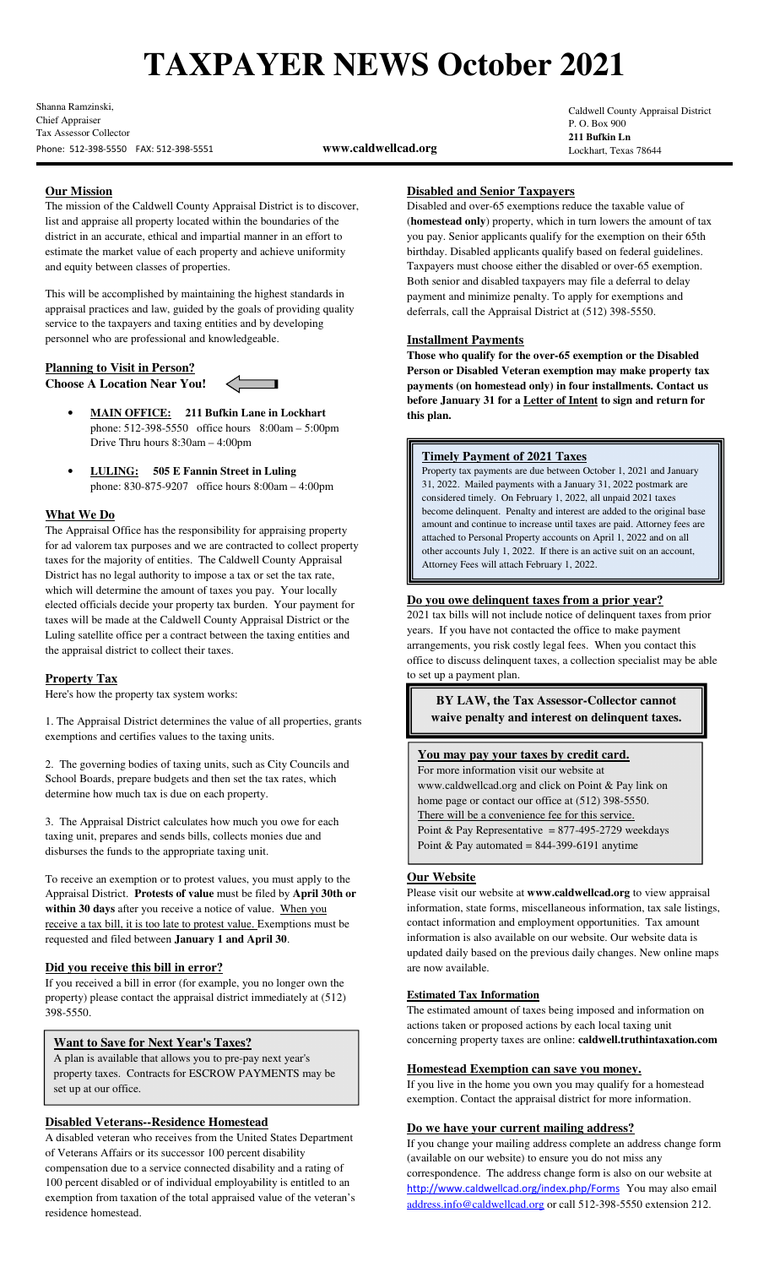# **TAXPAYER NEWS October 2021**

Shanna Ramzinski, Chief Appraiser Tax Assessor Collector Phone: 512-398-5550 FAX: 512-398-5551 **www.caldwellcad.org**

Caldwell County Appraisal District P. O. Box 900 **211 Bufkin Ln** Lockhart, Texas 78644

# **Our Mission**

The mission of the Caldwell County Appraisal District is to discover, list and appraise all property located within the boundaries of the district in an accurate, ethical and impartial manner in an effort to estimate the market value of each property and achieve uniformity and equity between classes of properties.

This will be accomplished by maintaining the highest standards in appraisal practices and law, guided by the goals of providing quality service to the taxpayers and taxing entities and by developing personnel who are professional and knowledgeable.

# **Planning to Visit in Person?**

**Choose A Location Near You!** 

a ka

- **MAIN OFFICE: 211 Bufkin Lane in Lockhart** phone: 512-398-5550 office hours 8:00am – 5:00pm Drive Thru hours 8:30am – 4:00pm
- **LULING: 505 E Fannin Street in Luling** phone: 830-875-9207 office hours 8:00am – 4:00pm

# **What We Do**

The Appraisal Office has the responsibility for appraising property for ad valorem tax purposes and we are contracted to collect property taxes for the majority of entities. The Caldwell County Appraisal District has no legal authority to impose a tax or set the tax rate, which will determine the amount of taxes you pay. Your locally elected officials decide your property tax burden. Your payment for taxes will be made at the Caldwell County Appraisal District or the Luling satellite office per a contract between the taxing entities and the appraisal district to collect their taxes.

# **Property Tax**

Here's how the property tax system works:

1. The Appraisal District determines the value of all properties, grants exemptions and certifies values to the taxing units.

2. The governing bodies of taxing units, such as City Councils and School Boards, prepare budgets and then set the tax rates, which determine how much tax is due on each property.

3. The Appraisal District calculates how much you owe for each taxing unit, prepares and sends bills, collects monies due and disburses the funds to the appropriate taxing unit.

To receive an exemption or to protest values, you must apply to the Appraisal District. **Protests of value** must be filed by **April 30th or within 30 days** after you receive a notice of value. When you receive a tax bill, it is too late to protest value. Exemptions must be requested and filed between **January 1 and April 30**.

# **Did you receive this bill in error?**

If you received a bill in error (for example, you no longer own the property) please contact the appraisal district immediately at (512) 398-5550.

# **Want to Save for Next Year's Taxes?**

A plan is available that allows you to pre-pay next year's property taxes. Contracts for ESCROW PAYMENTS may be set up at our office.

# **Disabled Veterans--Residence Homestead**

A disabled veteran who receives from the United States Department of Veterans Affairs or its successor 100 percent disability compensation due to a service connected disability and a rating of 100 percent disabled or of individual employability is entitled to an exemption from taxation of the total appraised value of the veteran's residence homestead.

## **Disabled and Senior Taxpayers**

Disabled and over-65 exemptions reduce the taxable value of (**homestead only**) property, which in turn lowers the amount of tax you pay. Senior applicants qualify for the exemption on their 65th birthday. Disabled applicants qualify based on federal guidelines. Taxpayers must choose either the disabled or over-65 exemption. Both senior and disabled taxpayers may file a deferral to delay payment and minimize penalty. To apply for exemptions and deferrals, call the Appraisal District at (512) 398-5550.

#### **Installment Payments**

**Those who qualify for the over-65 exemption or the Disabled Person or Disabled Veteran exemption may make property tax payments (on homestead only) in four installments. Contact us before January 31 for a Letter of Intent to sign and return for this plan.**

#### **Timely Payment of 2021 Taxes**

Property tax payments are due between October 1, 2021 and January 31, 2022. Mailed payments with a January 31, 2022 postmark are considered timely. On February 1, 2022, all unpaid 2021 taxes become delinquent. Penalty and interest are added to the original base amount and continue to increase until taxes are paid. Attorney fees are attached to Personal Property accounts on April 1, 2022 and on all other accounts July 1, 2022. If there is an active suit on an account, Attorney Fees will attach February 1, 2022.

#### **Do you owe delinquent taxes from a prior year?**

2021 tax bills will not include notice of delinquent taxes from prior years. If you have not contacted the office to make payment arrangements, you risk costly legal fees. When you contact this office to discuss delinquent taxes, a collection specialist may be able to set up a payment plan.

**BY LAW, the Tax Assessor-Collector cannot waive penalty and interest on delinquent taxes.** 

#### **You may pay your taxes by credit card.**

For more information visit our website at www.caldwellcad.org and click on Point & Pay link on home page or contact our office at (512) 398-5550. There will be a convenience fee for this service. Point & Pay Representative =  $877-495-2729$  weekdays Point & Pay automated =  $844-399-6191$  anytime

#### **Our Website**

Please visit our website at **www.caldwellcad.org** to view appraisal information, state forms, miscellaneous information, tax sale listings, contact information and employment opportunities. Tax amount information is also available on our website. Our website data is updated daily based on the previous daily changes. New online maps are now available.

#### **Estimated Tax Information**

The estimated amount of taxes being imposed and information on actions taken or proposed actions by each local taxing unit concerning property taxes are online: **caldwell.truthintaxation.com**

## **Homestead Exemption can save you money.**

If you live in the home you own you may qualify for a homestead exemption. Contact the appraisal district for more information.

# **Do we have your current mailing address?**

If you change your mailing address complete an address change form (available on our website) to ensure you do not miss any correspondence. The address change form is also on our website at http://www.caldwellcad.org/index.php/Forms You may also email address.info@caldwellcad.org or call 512-398-5550 extension 212.